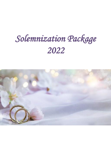# *Solemnization Package 2022*

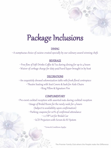# Package Inclusions

#### DINING

• A sumptuous choice of cuisine created specially by our culinary award winning chefs

#### BEVERAGE

• Free flow of Soft Drinks Coffee & Tea during dining for up to 4 hours • Waiver of corkage charge for duty paid hard liquor brought in by host

#### **DECORATIONS**

• An exquisitely dressed solemnization table with fresh floral centrepiece • Theatre Seating with Seat Covers & Sash for Aisle Chairs • Ring Pillow & Signature Pen

#### COMPLIMENTARY

• Pre-event cocktail reception with assorted nuts during cocktail reception • Usage of Bridal Room for the newly weds for 4 hours (Subject to availability upon confirmation) • Parking coupons for 20% of confirmed attendance • 1 x VIP Lot for Bridal Car • LCD Projectors with Screen & AV System

\* Terms & Conditions Applys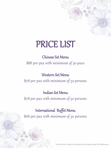# PRICE LIST

## Chinese Set Menu \$88 per pax with minimum of 30 paxs

### Western Set Menu

\$78 per pax with minimum of 30 persons

## Indian Set Menu

\$78 per pax with minimum of 30 persons

## International Buffet Menu

\$68 per pax with minimum of 30 persons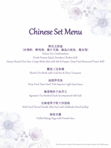## Chinese Set Menu

特色五拼盘 (沙律虾, 醉鸡卷, 蜜汁叉烧, 椒盐白饭鱼, 腐皮卷)

Deluxe Five Combinations (Fresh Prawns Salad, Drunken Chicken Roll, Honey Glazed Char Siew, Crispy White Bait with Salt & Pepper, Deep Fried Beancurd Prawn Roll)

#### 蟹皇三宝鱼翅

Shark's Fin Broth with Crab Roe & Three Treasures

#### 油浸笋壳鱼

Deep Fried 'Soon Hock' Fish Superior Light Soya Sauce

#### 樟茶鸭伴千丝芥兰

Signature Tea Smoked Duck Accompanied with Kale

#### 北海道带子粒干炒面线

Wok Fried Thread Noodle (MeeSua) with Hokkaido Diced Scallop

#### 杨枝甘露

Chilled Mango Sago with Pomelo Sacs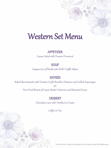## Western Set Menu

#### APPETIZER

Caesar Salad with Prawns Provencal

#### **SOUP**

Cappuccino of Mushroom With Truffle Infuse

#### ENTRÉE

Baked Barramundi with Tomato Confit Bouillon Potatoes and Grilled Asparagus

 $O<sub>r</sub>$ 

Pan-Fried Breast of Capon Butter Fettucine and Mustard Gravy

#### **DESSERT**

Chocolate Lava with Vanilla Ice Cream

Coffee or Tea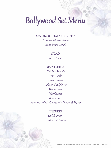# Bollywood Set Menu

#### STARTER WITH MINT CHUTNEY

Cumin Chicken Kebab Hara Bhara Kebab

#### SALAD

Aloo Chaat

#### MAIN COURSE

Chicken Masala Fish Methi Palak Paneer Gobi 65 Cauliflower Makai Palak Mee Goreng Bryani Rice Acccompanied with Assorted Naan & Papad

#### **DESSERTS**

Gulab Jamun Fresh Fruit Platter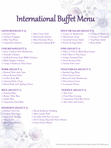# International Buffet Menu

- 
- 

#### **CHICKEN(SELECT 1) FISH (SELECT 1)**

□ Teriyaki Chicken □ Fish Fillet in Thai Sauce □ Grilled Korean Style BBQ Chicken □ Crispy Oatmeal Fish □ Black Pepper Chicken □ Sweet & Sour Fish □ Crispy Chicken in Thai Sauce □ Assam Fish Curry

□ Braised Pork with Yam □ Sambal Egg Plant □ Sweet & Sour Pork □ Thai Green Curry □ Coffee Pork Rib □ Broccoli with Mushroom □ Oriental Pork Chop □ Thai Green Curry □ Sliced Pork with Spring Onion □ Lyonnaise Potato

□ Steamed Rice □ Nee Soto □ Butter Olive Rice □ Fried Mee Goreng □ Vegetarian Fried Rice □ △ △ □ Mee Siam with Gravy

#### **DESSERTS (SELECT 2)**

- □ Hoiney Dew Sago □ Mini Cream Puff □ Mini Fruit Tartlets □ Fresh Fruits Platter
- □ Burbur Cha Cha □ Bread & Butter Pudding □ Sago Gula Melaka □ Ice Jelly with Sea Coconut □ Mini Éclair □ Hot Cheng Tng with Sweet Potato

#### **SAVOURY(SELECT 2) SOUP OR SALAD (SELECT 1)**

- □ French Fries □ Mini Curry Puff □ Cream of Mushroom □ Cream of Broccoli □ Chicken Nuggets □ Mushroom Quiche □ Minestrone Soup □ Cream of Pumpkin □ Mini Veg Pizza □ Mini Hawaiian Pizza □ Assorted Green Salad □ Veg Pasta Salad □ Vegetarian Samosa □ Vegetarian Spring Roll □ Potato & Egg Salad □ Bean Salad
- -
	-
	-

□ Stew Chicken with Mushroom □ Fillet of Fish in Black Bean Sauce

#### **PORK (SELECT 1) VEGETABLES (SELECT 1)**

#### **RICE (SELECT 1) NOODLE (SELECT 1)**

□ Garlic Rice □ ○ ○ □ Vegetarian Fried Bee Hoon